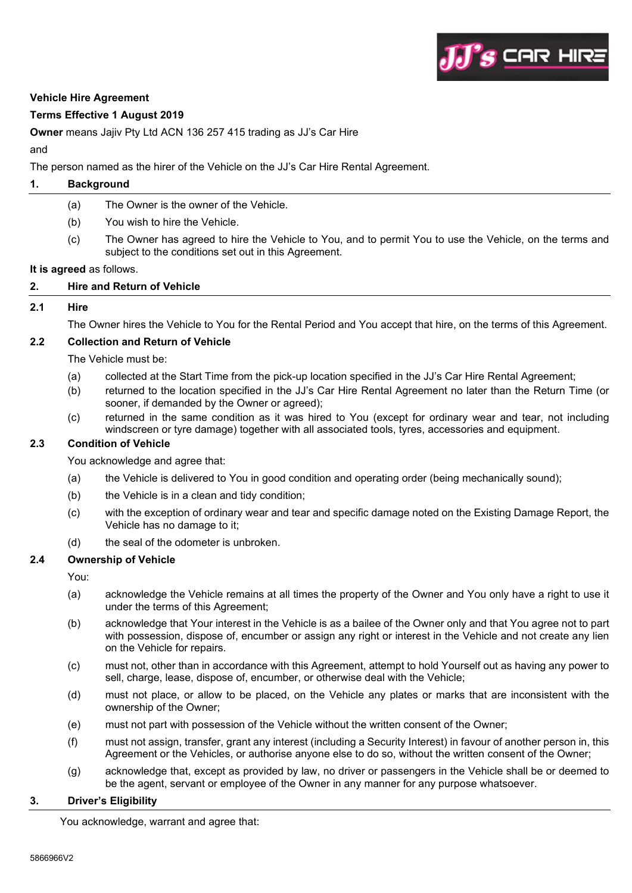

#### **Vehicle Hire Agreement**

## **Terms Effective 1 August 2019**

**Owner** means Jajiv Pty Ltd ACN 136 257 415 trading as JJ's Car Hire

## and

The person named as the hirer of the Vehicle on the JJ's Car Hire Rental Agreement.

# **1. Background**

- (a) The Owner is the owner of the Vehicle.
- (b) You wish to hire the Vehicle.
- (c) The Owner has agreed to hire the Vehicle to You, and to permit You to use the Vehicle, on the terms and subject to the conditions set out in this Agreement.

#### **It is agreed** as follows.

## **2. Hire and Return of Vehicle**

# **2.1 Hire**

The Owner hires the Vehicle to You for the Rental Period and You accept that hire, on the terms of this Agreement.

## **2.2 Collection and Return of Vehicle**

The Vehicle must be:

- (a) collected at the Start Time from the pick-up location specified in the JJ's Car Hire Rental Agreement;
- (b) returned to the location specified in the JJ's Car Hire Rental Agreement no later than the Return Time (or sooner, if demanded by the Owner or agreed);
- (c) returned in the same condition as it was hired to You (except for ordinary wear and tear, not including windscreen or tyre damage) together with all associated tools, tyres, accessories and equipment.

# **2.3 Condition of Vehicle**

You acknowledge and agree that:

- (a) the Vehicle is delivered to You in good condition and operating order (being mechanically sound);
- (b) the Vehicle is in a clean and tidy condition;
- (c) with the exception of ordinary wear and tear and specific damage noted on the Existing Damage Report, the Vehicle has no damage to it;
- (d) the seal of the odometer is unbroken.

# **2.4 Ownership of Vehicle**

You:

- (a) acknowledge the Vehicle remains at all times the property of the Owner and You only have a right to use it under the terms of this Agreement;
- (b) acknowledge that Your interest in the Vehicle is as a bailee of the Owner only and that You agree not to part with possession, dispose of, encumber or assign any right or interest in the Vehicle and not create any lien on the Vehicle for repairs.
- (c) must not, other than in accordance with this Agreement, attempt to hold Yourself out as having any power to sell, charge, lease, dispose of, encumber, or otherwise deal with the Vehicle;
- (d) must not place, or allow to be placed, on the Vehicle any plates or marks that are inconsistent with the ownership of the Owner;
- (e) must not part with possession of the Vehicle without the written consent of the Owner;
- (f) must not assign, transfer, grant any interest (including a Security Interest) in favour of another person in, this Agreement or the Vehicles, or authorise anyone else to do so, without the written consent of the Owner;
- (g) acknowledge that, except as provided by law, no driver or passengers in the Vehicle shall be or deemed to be the agent, servant or employee of the Owner in any manner for any purpose whatsoever.

#### **3. Driver's Eligibility**

You acknowledge, warrant and agree that: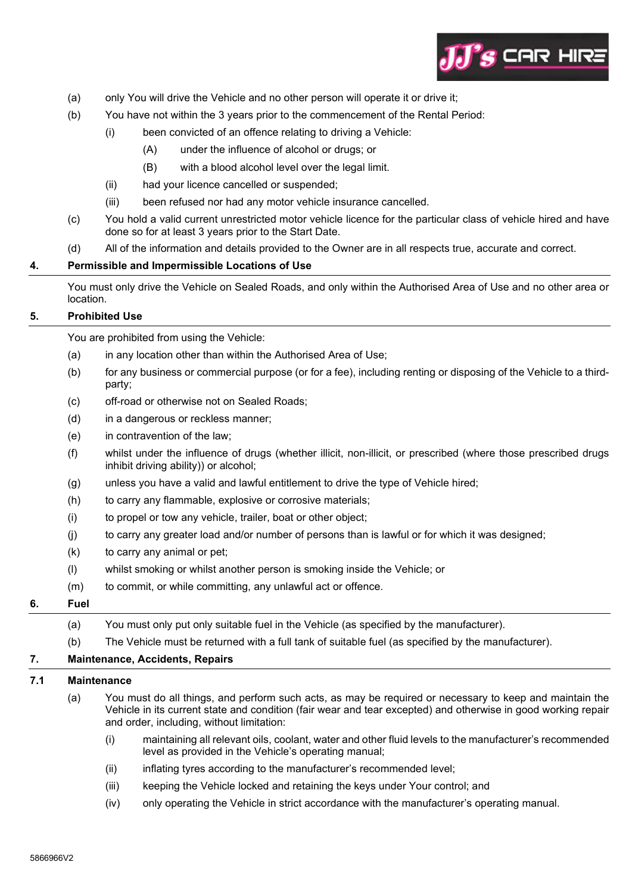

- (a) only You will drive the Vehicle and no other person will operate it or drive it;
- (b) You have not within the 3 years prior to the commencement of the Rental Period:
	- (i) been convicted of an offence relating to driving a Vehicle:
		- (A) under the influence of alcohol or drugs; or
		- (B) with a blood alcohol level over the legal limit.
	- (ii) had your licence cancelled or suspended;
	- (iii) been refused nor had any motor vehicle insurance cancelled.
- (c) You hold a valid current unrestricted motor vehicle licence for the particular class of vehicle hired and have done so for at least 3 years prior to the Start Date.
- (d) All of the information and details provided to the Owner are in all respects true, accurate and correct.

## **4. Permissible and Impermissible Locations of Use**

You must only drive the Vehicle on Sealed Roads, and only within the Authorised Area of Use and no other area or location.

## **5. Prohibited Use**

You are prohibited from using the Vehicle:

- (a) in any location other than within the Authorised Area of Use;
- (b) for any business or commercial purpose (or for a fee), including renting or disposing of the Vehicle to a thirdparty;
- (c) off-road or otherwise not on Sealed Roads;
- (d) in a dangerous or reckless manner;
- (e) in contravention of the law;
- (f) whilst under the influence of drugs (whether illicit, non-illicit, or prescribed (where those prescribed drugs inhibit driving ability)) or alcohol;
- (g) unless you have a valid and lawful entitlement to drive the type of Vehicle hired;
- (h) to carry any flammable, explosive or corrosive materials;
- (i) to propel or tow any vehicle, trailer, boat or other object;
- (j) to carry any greater load and/or number of persons than is lawful or for which it was designed;
- (k) to carry any animal or pet;
- (l) whilst smoking or whilst another person is smoking inside the Vehicle; or
- (m) to commit, or while committing, any unlawful act or offence.

# **6. Fuel**

- (a) You must only put only suitable fuel in the Vehicle (as specified by the manufacturer).
- (b) The Vehicle must be returned with a full tank of suitable fuel (as specified by the manufacturer).

## **7. Maintenance, Accidents, Repairs**

# **7.1 Maintenance**

- (a) You must do all things, and perform such acts, as may be required or necessary to keep and maintain the Vehicle in its current state and condition (fair wear and tear excepted) and otherwise in good working repair and order, including, without limitation:
	- (i) maintaining all relevant oils, coolant, water and other fluid levels to the manufacturer's recommended level as provided in the Vehicle's operating manual;
	- (ii) inflating tyres according to the manufacturer's recommended level;
	- (iii) keeping the Vehicle locked and retaining the keys under Your control; and
	- (iv) only operating the Vehicle in strict accordance with the manufacturer's operating manual.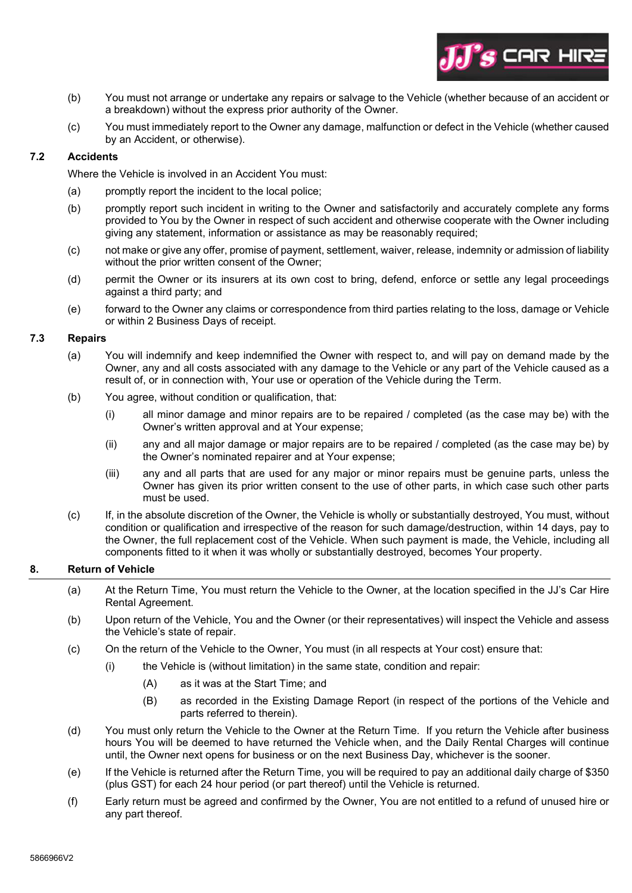

- (b) You must not arrange or undertake any repairs or salvage to the Vehicle (whether because of an accident or a breakdown) without the express prior authority of the Owner.
- (c) You must immediately report to the Owner any damage, malfunction or defect in the Vehicle (whether caused by an Accident, or otherwise).

# **7.2 Accidents**

Where the Vehicle is involved in an Accident You must:

- (a) promptly report the incident to the local police;
- (b) promptly report such incident in writing to the Owner and satisfactorily and accurately complete any forms provided to You by the Owner in respect of such accident and otherwise cooperate with the Owner including giving any statement, information or assistance as may be reasonably required;
- (c) not make or give any offer, promise of payment, settlement, waiver, release, indemnity or admission of liability without the prior written consent of the Owner;
- (d) permit the Owner or its insurers at its own cost to bring, defend, enforce or settle any legal proceedings against a third party; and
- (e) forward to the Owner any claims or correspondence from third parties relating to the loss, damage or Vehicle or within 2 Business Days of receipt.

#### **7.3 Repairs**

- (a) You will indemnify and keep indemnified the Owner with respect to, and will pay on demand made by the Owner, any and all costs associated with any damage to the Vehicle or any part of the Vehicle caused as a result of, or in connection with, Your use or operation of the Vehicle during the Term.
- (b) You agree, without condition or qualification, that:
	- (i) all minor damage and minor repairs are to be repaired / completed (as the case may be) with the Owner's written approval and at Your expense;
	- (ii) any and all major damage or major repairs are to be repaired / completed (as the case may be) by the Owner's nominated repairer and at Your expense;
	- (iii) any and all parts that are used for any major or minor repairs must be genuine parts, unless the Owner has given its prior written consent to the use of other parts, in which case such other parts must be used.
- (c) If, in the absolute discretion of the Owner, the Vehicle is wholly or substantially destroyed, You must, without condition or qualification and irrespective of the reason for such damage/destruction, within 14 days, pay to the Owner, the full replacement cost of the Vehicle. When such payment is made, the Vehicle, including all components fitted to it when it was wholly or substantially destroyed, becomes Your property.

#### **8. Return of Vehicle**

- (a) At the Return Time, You must return the Vehicle to the Owner, at the location specified in the JJ's Car Hire Rental Agreement.
- (b) Upon return of the Vehicle, You and the Owner (or their representatives) will inspect the Vehicle and assess the Vehicle's state of repair.
- (c) On the return of the Vehicle to the Owner, You must (in all respects at Your cost) ensure that:
	- (i) the Vehicle is (without limitation) in the same state, condition and repair:
		- (A) as it was at the Start Time; and
		- (B) as recorded in the Existing Damage Report (in respect of the portions of the Vehicle and parts referred to therein).
- (d) You must only return the Vehicle to the Owner at the Return Time. If you return the Vehicle after business hours You will be deemed to have returned the Vehicle when, and the Daily Rental Charges will continue until, the Owner next opens for business or on the next Business Day, whichever is the sooner.
- (e) If the Vehicle is returned after the Return Time, you will be required to pay an additional daily charge of \$350 (plus GST) for each 24 hour period (or part thereof) until the Vehicle is returned.
- (f) Early return must be agreed and confirmed by the Owner, You are not entitled to a refund of unused hire or any part thereof.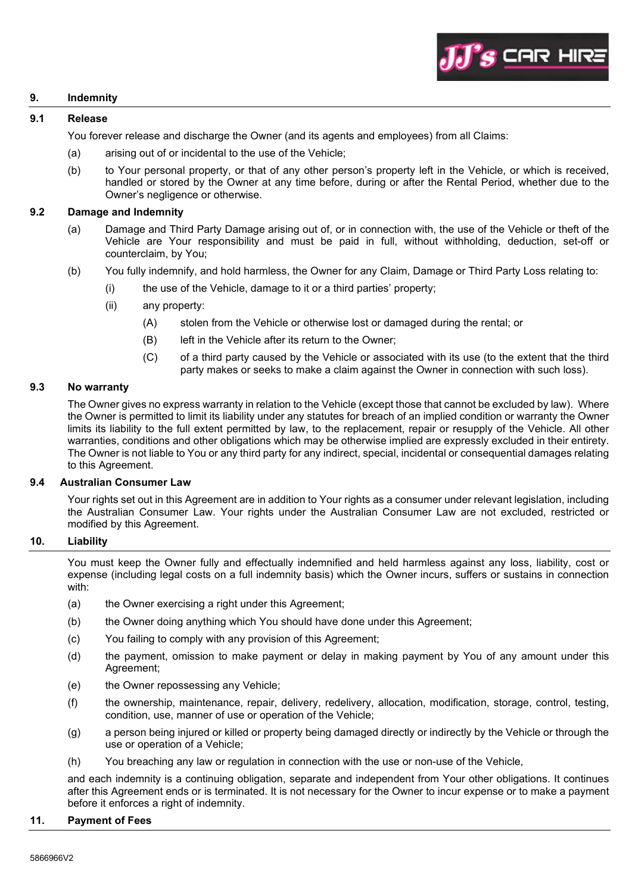

## **9. Indemnity**

# **9.1 Release**

You forever release and discharge the Owner (and its agents and employees) from all Claims:

- (a) arising out of or incidental to the use of the Vehicle;
- (b) to Your personal property, or that of any other person's property left in the Vehicle, or which is received, handled or stored by the Owner at any time before, during or after the Rental Period, whether due to the Owner's negligence or otherwise.

#### **9.2 Damage and Indemnity**

- (a) Damage and Third Party Damage arising out of, or in connection with, the use of the Vehicle or theft of the Vehicle are Your responsibility and must be paid in full, without withholding, deduction, set-off or counterclaim, by You;
- (b) You fully indemnify, and hold harmless, the Owner for any Claim, Damage or Third Party Loss relating to:
	- (i) the use of the Vehicle, damage to it or a third parties' property;
	- (ii) any property:
		- (A) stolen from the Vehicle or otherwise lost or damaged during the rental; or
		- (B) left in the Vehicle after its return to the Owner:
		- (C) of a third party caused by the Vehicle or associated with its use (to the extent that the third party makes or seeks to make a claim against the Owner in connection with such loss).

#### **9.3 No warranty**

The Owner gives no express warranty in relation to the Vehicle (except those that cannot be excluded by law). Where the Owner is permitted to limit its liability under any statutes for breach of an implied condition or warranty the Owner limits its liability to the full extent permitted by law, to the replacement, repair or resupply of the Vehicle. All other warranties, conditions and other obligations which may be otherwise implied are expressly excluded in their entirety. The Owner is not liable to You or any third party for any indirect, special, incidental or consequential damages relating to this Agreement.

#### **9.4 Australian Consumer Law**

Your rights set out in this Agreement are in addition to Your rights as a consumer under relevant legislation, including the Australian Consumer Law. Your rights under the Australian Consumer Law are not excluded, restricted or modified by this Agreement.

## **10. Liability**

You must keep the Owner fully and effectually indemnified and held harmless against any loss, liability, cost or expense (including legal costs on a full indemnity basis) which the Owner incurs, suffers or sustains in connection with:

- (a) the Owner exercising a right under this Agreement:
- (b) the Owner doing anything which You should have done under this Agreement;
- (c) You failing to comply with any provision of this Agreement;
- (d) the payment, omission to make payment or delay in making payment by You of any amount under this Agreement;
- (e) the Owner repossessing any Vehicle;
- (f) the ownership, maintenance, repair, delivery, redelivery, allocation, modification, storage, control, testing, condition, use, manner of use or operation of the Vehicle;
- (g) a person being injured or killed or property being damaged directly or indirectly by the Vehicle or through the use or operation of a Vehicle;
- (h) You breaching any law or regulation in connection with the use or non-use of the Vehicle,

and each indemnity is a continuing obligation, separate and independent from Your other obligations. It continues after this Agreement ends or is terminated. It is not necessary for the Owner to incur expense or to make a payment before it enforces a right of indemnity.

#### **11. Payment of Fees**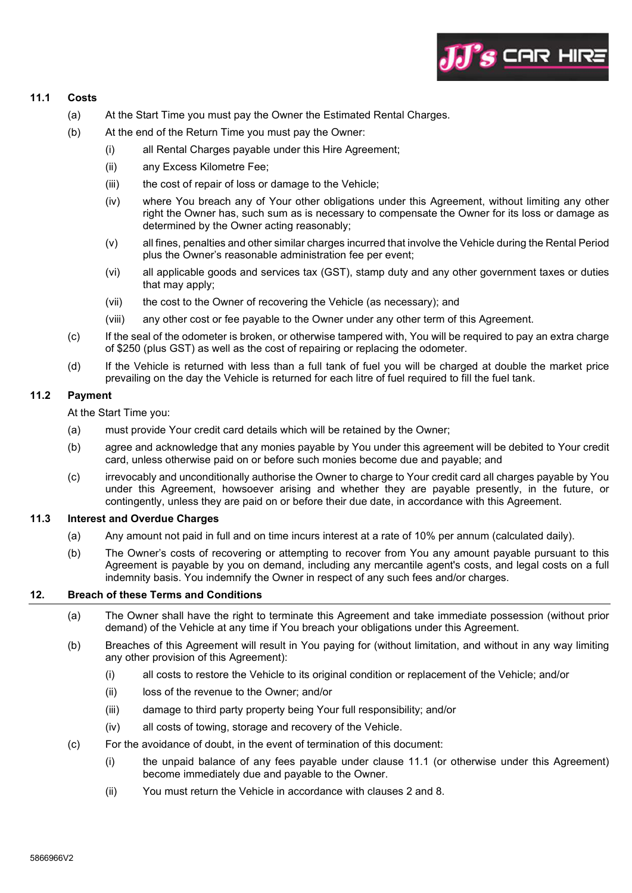

# **11.1 Costs**

- (a) At the Start Time you must pay the Owner the Estimated Rental Charges.
- (b) At the end of the Return Time you must pay the Owner:
	- (i) all Rental Charges payable under this Hire Agreement;
	- (ii) any Excess Kilometre Fee;
	- (iii) the cost of repair of loss or damage to the Vehicle;
	- (iv) where You breach any of Your other obligations under this Agreement, without limiting any other right the Owner has, such sum as is necessary to compensate the Owner for its loss or damage as determined by the Owner acting reasonably;
	- (v) all fines, penalties and other similar charges incurred that involve the Vehicle during the Rental Period plus the Owner's reasonable administration fee per event;
	- (vi) all applicable goods and services tax (GST), stamp duty and any other government taxes or duties that may apply;
	- (vii) the cost to the Owner of recovering the Vehicle (as necessary); and
	- (viii) any other cost or fee payable to the Owner under any other term of this Agreement.
- (c) If the seal of the odometer is broken, or otherwise tampered with, You will be required to pay an extra charge of \$250 (plus GST) as well as the cost of repairing or replacing the odometer.
- (d) If the Vehicle is returned with less than a full tank of fuel you will be charged at double the market price prevailing on the day the Vehicle is returned for each litre of fuel required to fill the fuel tank.

## **11.2 Payment**

At the Start Time you:

- (a) must provide Your credit card details which will be retained by the Owner;
- (b) agree and acknowledge that any monies payable by You under this agreement will be debited to Your credit card, unless otherwise paid on or before such monies become due and payable; and
- (c) irrevocably and unconditionally authorise the Owner to charge to Your credit card all charges payable by You under this Agreement, howsoever arising and whether they are payable presently, in the future, or contingently, unless they are paid on or before their due date, in accordance with this Agreement.

## **11.3 Interest and Overdue Charges**

- (a) Any amount not paid in full and on time incurs interest at a rate of 10% per annum (calculated daily).
- (b) The Owner's costs of recovering or attempting to recover from You any amount payable pursuant to this Agreement is payable by you on demand, including any mercantile agent's costs, and legal costs on a full indemnity basis. You indemnify the Owner in respect of any such fees and/or charges.

#### **12. Breach of these Terms and Conditions**

- (a) The Owner shall have the right to terminate this Agreement and take immediate possession (without prior demand) of the Vehicle at any time if You breach your obligations under this Agreement.
- (b) Breaches of this Agreement will result in You paying for (without limitation, and without in any way limiting any other provision of this Agreement):
	- (i) all costs to restore the Vehicle to its original condition or replacement of the Vehicle; and/or
	- (ii) loss of the revenue to the Owner; and/or
	- (iii) damage to third party property being Your full responsibility; and/or
	- (iv) all costs of towing, storage and recovery of the Vehicle.
- (c) For the avoidance of doubt, in the event of termination of this document:
	- (i) the unpaid balance of any fees payable under clause 11.1 (or otherwise under this Agreement) become immediately due and payable to the Owner.
	- (ii) You must return the Vehicle in accordance with clauses 2 and 8.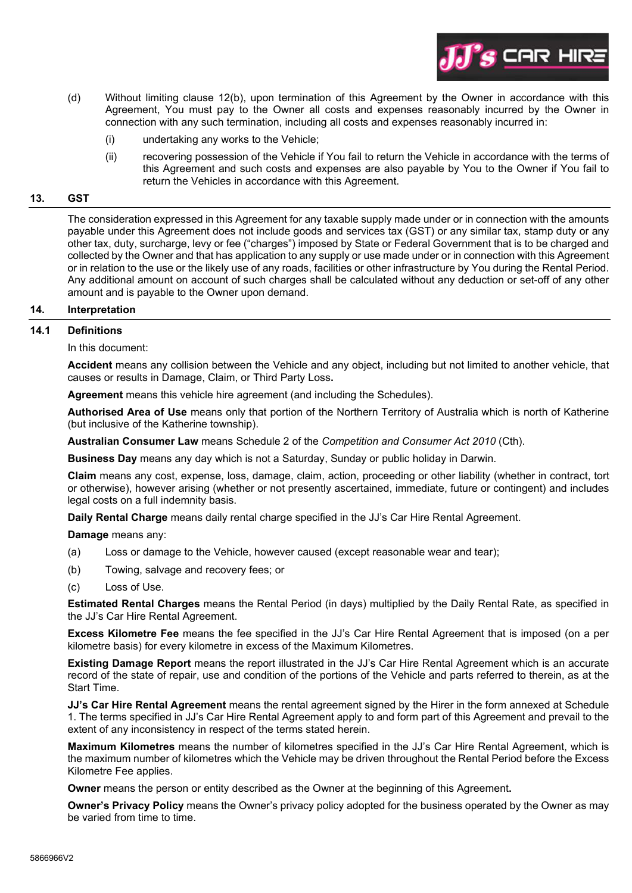

- (d) Without limiting clause 12(b), upon termination of this Agreement by the Owner in accordance with this Agreement, You must pay to the Owner all costs and expenses reasonably incurred by the Owner in connection with any such termination, including all costs and expenses reasonably incurred in:
	- (i) undertaking any works to the Vehicle;
	- (ii) recovering possession of the Vehicle if You fail to return the Vehicle in accordance with the terms of this Agreement and such costs and expenses are also payable by You to the Owner if You fail to return the Vehicles in accordance with this Agreement.

# **13. GST**

The consideration expressed in this Agreement for any taxable supply made under or in connection with the amounts payable under this Agreement does not include goods and services tax (GST) or any similar tax, stamp duty or any other tax, duty, surcharge, levy or fee ("charges") imposed by State or Federal Government that is to be charged and collected by the Owner and that has application to any supply or use made under or in connection with this Agreement or in relation to the use or the likely use of any roads, facilities or other infrastructure by You during the Rental Period. Any additional amount on account of such charges shall be calculated without any deduction or set-off of any other amount and is payable to the Owner upon demand.

## **14. Interpretation**

## **14.1 Definitions**

In this document:

**Accident** means any collision between the Vehicle and any object, including but not limited to another vehicle, that causes or results in Damage, Claim, or Third Party Loss**.** 

**Agreement** means this vehicle hire agreement (and including the Schedules).

**Authorised Area of Use** means only that portion of the Northern Territory of Australia which is north of Katherine (but inclusive of the Katherine township).

**Australian Consumer Law** means Schedule 2 of the *Competition and Consumer Act 2010* (Cth).

**Business Day** means any day which is not a Saturday, Sunday or public holiday in Darwin.

**Claim** means any cost, expense, loss, damage, claim, action, proceeding or other liability (whether in contract, tort or otherwise), however arising (whether or not presently ascertained, immediate, future or contingent) and includes legal costs on a full indemnity basis.

**Daily Rental Charge** means daily rental charge specified in the JJ's Car Hire Rental Agreement.

**Damage** means any:

- (a) Loss or damage to the Vehicle, however caused (except reasonable wear and tear);
- (b) Towing, salvage and recovery fees; or
- (c) Loss of Use.

**Estimated Rental Charges** means the Rental Period (in days) multiplied by the Daily Rental Rate, as specified in the JJ's Car Hire Rental Agreement.

**Excess Kilometre Fee** means the fee specified in the JJ's Car Hire Rental Agreement that is imposed (on a per kilometre basis) for every kilometre in excess of the Maximum Kilometres.

**Existing Damage Report** means the report illustrated in the JJ's Car Hire Rental Agreement which is an accurate record of the state of repair, use and condition of the portions of the Vehicle and parts referred to therein, as at the Start Time.

**JJ's Car Hire Rental Agreement** means the rental agreement signed by the Hirer in the form annexed at Schedule 1. The terms specified in JJ's Car Hire Rental Agreement apply to and form part of this Agreement and prevail to the extent of any inconsistency in respect of the terms stated herein.

**Maximum Kilometres** means the number of kilometres specified in the JJ's Car Hire Rental Agreement, which is the maximum number of kilometres which the Vehicle may be driven throughout the Rental Period before the Excess Kilometre Fee applies.

**Owner** means the person or entity described as the Owner at the beginning of this Agreement**.** 

**Owner's Privacy Policy** means the Owner's privacy policy adopted for the business operated by the Owner as may be varied from time to time.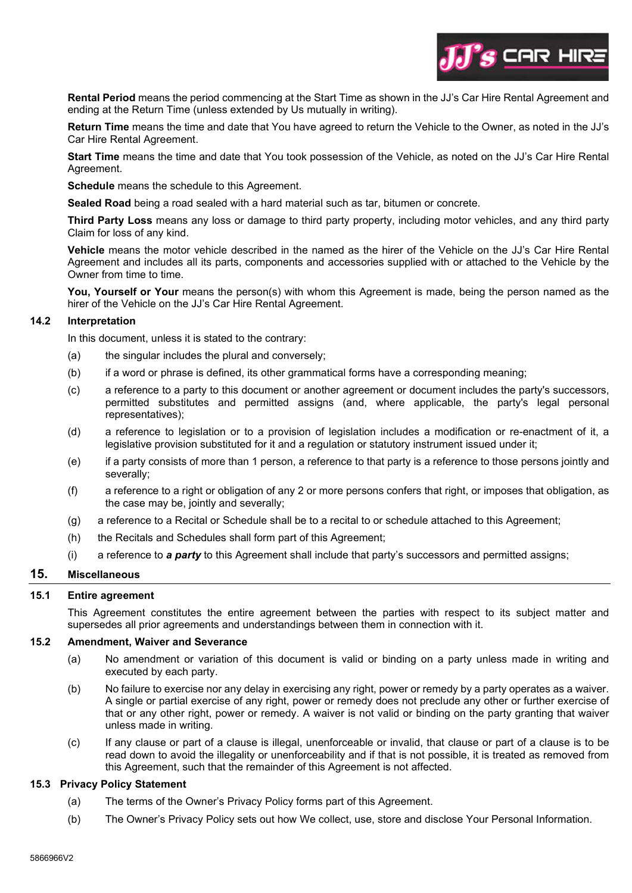

**Rental Period** means the period commencing at the Start Time as shown in the JJ's Car Hire Rental Agreement and ending at the Return Time (unless extended by Us mutually in writing).

**Return Time** means the time and date that You have agreed to return the Vehicle to the Owner, as noted in the JJ's Car Hire Rental Agreement.

**Start Time** means the time and date that You took possession of the Vehicle, as noted on the JJ's Car Hire Rental Agreement.

**Schedule** means the schedule to this Agreement.

**Sealed Road** being a road sealed with a hard material such as tar, bitumen or concrete.

**Third Party Loss** means any loss or damage to third party property, including motor vehicles, and any third party Claim for loss of any kind.

**Vehicle** means the motor vehicle described in the named as the hirer of the Vehicle on the JJ's Car Hire Rental Agreement and includes all its parts, components and accessories supplied with or attached to the Vehicle by the Owner from time to time.

**You, Yourself or Your** means the person(s) with whom this Agreement is made, being the person named as the hirer of the Vehicle on the JJ's Car Hire Rental Agreement.

#### **14.2 Interpretation**

In this document, unless it is stated to the contrary:

- (a) the singular includes the plural and conversely;
- (b) if a word or phrase is defined, its other grammatical forms have a corresponding meaning;
- (c) a reference to a party to this document or another agreement or document includes the party's successors, permitted substitutes and permitted assigns (and, where applicable, the party's legal personal representatives);
- (d) a reference to legislation or to a provision of legislation includes a modification or re-enactment of it, a legislative provision substituted for it and a regulation or statutory instrument issued under it;
- (e) if a party consists of more than 1 person, a reference to that party is a reference to those persons jointly and severally;
- (f) a reference to a right or obligation of any 2 or more persons confers that right, or imposes that obligation, as the case may be, jointly and severally;
- (g) a reference to a Recital or Schedule shall be to a recital to or schedule attached to this Agreement;
- (h) the Recitals and Schedules shall form part of this Agreement;
- (i) a reference to *a party* to this Agreement shall include that party's successors and permitted assigns;

# **15. Miscellaneous**

#### **15.1 Entire agreement**

This Agreement constitutes the entire agreement between the parties with respect to its subject matter and supersedes all prior agreements and understandings between them in connection with it.

#### **15.2 Amendment, Waiver and Severance**

- (a) No amendment or variation of this document is valid or binding on a party unless made in writing and executed by each party.
- (b) No failure to exercise nor any delay in exercising any right, power or remedy by a party operates as a waiver. A single or partial exercise of any right, power or remedy does not preclude any other or further exercise of that or any other right, power or remedy. A waiver is not valid or binding on the party granting that waiver unless made in writing.
- (c) If any clause or part of a clause is illegal, unenforceable or invalid, that clause or part of a clause is to be read down to avoid the illegality or unenforceability and if that is not possible, it is treated as removed from this Agreement, such that the remainder of this Agreement is not affected.

# **15.3 Privacy Policy Statement**

- (a) The terms of the Owner's Privacy Policy forms part of this Agreement.
- (b) The Owner's Privacy Policy sets out how We collect, use, store and disclose Your Personal Information.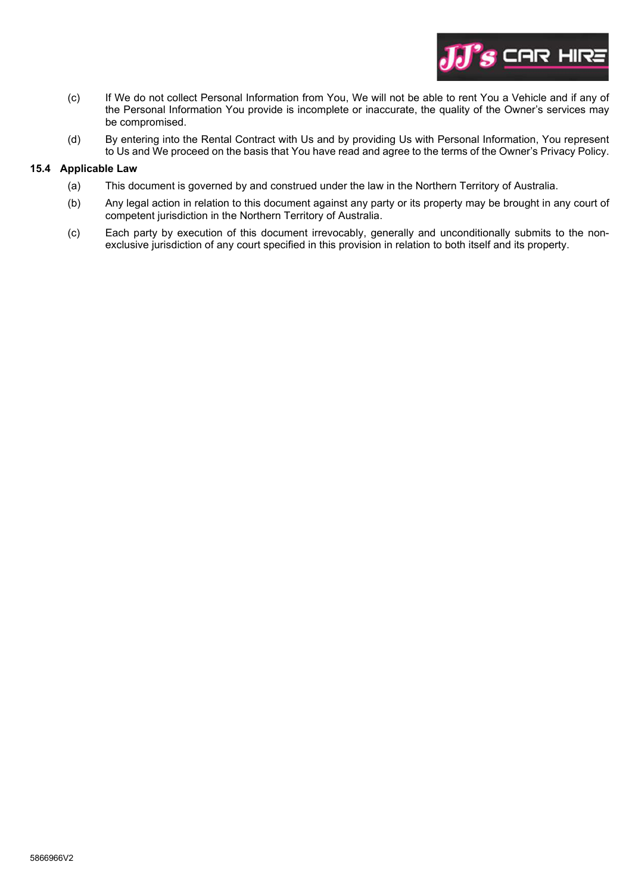

- (c) If We do not collect Personal Information from You, We will not be able to rent You a Vehicle and if any of the Personal Information You provide is incomplete or inaccurate, the quality of the Owner's services may be compromised.
- (d) By entering into the Rental Contract with Us and by providing Us with Personal Information, You represent to Us and We proceed on the basis that You have read and agree to the terms of the Owner's Privacy Policy.

## **15.4 Applicable Law**

- (a) This document is governed by and construed under the law in the Northern Territory of Australia.
- (b) Any legal action in relation to this document against any party or its property may be brought in any court of competent jurisdiction in the Northern Territory of Australia.
- (c) Each party by execution of this document irrevocably, generally and unconditionally submits to the nonexclusive jurisdiction of any court specified in this provision in relation to both itself and its property.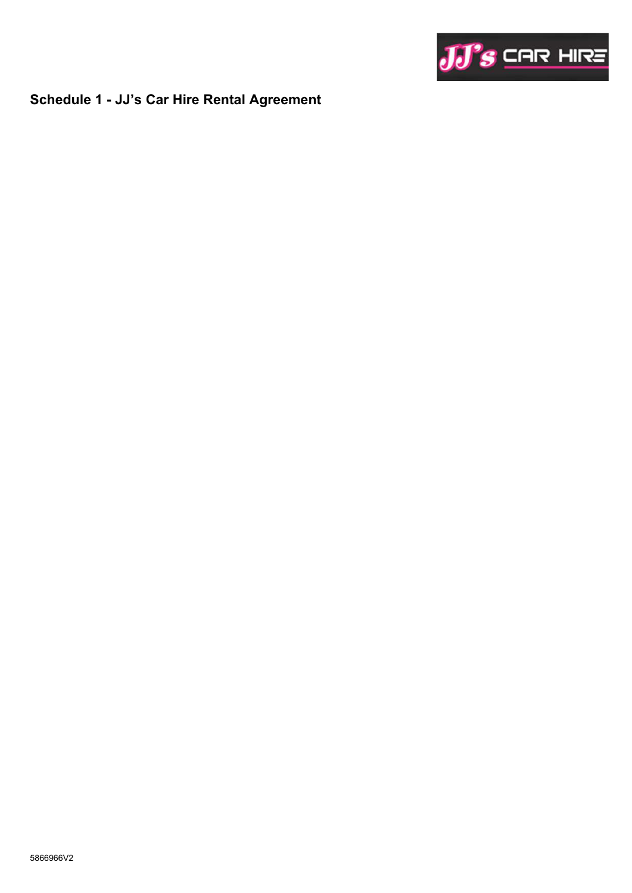

# **Schedule 1 - JJ's Car Hire Rental Agreement**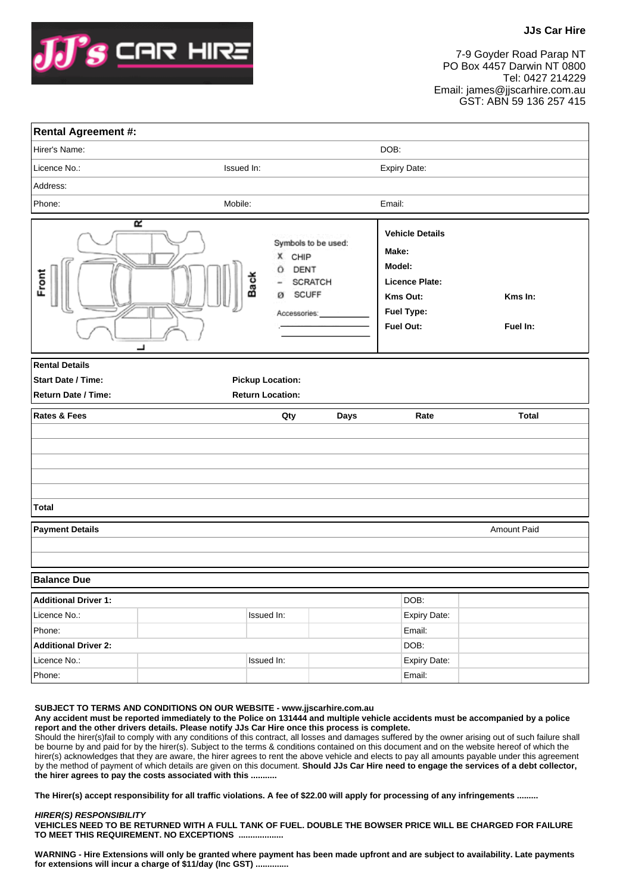

7-9 Goyder Road Parap NT PO Box 4457 Darwin NT 0800 Tel: 0427 214229 Email: james@jjscarhire.com.au GST: ABN 59 136 257 415

| <b>Rental Agreement #:</b>                                                |            |                                                                                                    |      |                                                                                                                  |                     |
|---------------------------------------------------------------------------|------------|----------------------------------------------------------------------------------------------------|------|------------------------------------------------------------------------------------------------------------------|---------------------|
| Hirer's Name:                                                             |            |                                                                                                    |      | DOB:                                                                                                             |                     |
| Licence No.:                                                              | Issued In: |                                                                                                    |      | Expiry Date:                                                                                                     |                     |
| Address:                                                                  |            |                                                                                                    |      |                                                                                                                  |                     |
| Phone:                                                                    |            | Mobile:                                                                                            |      | Email:                                                                                                           |                     |
| Front                                                                     | R<br>┚     | Symbols to be used:<br>X CHIP<br>DENT<br>O<br>Back<br>SCRATCH<br><b>SCUFF</b><br>ø<br>Accessories: |      | <b>Vehicle Details</b><br>Make:<br>Model:<br><b>Licence Plate:</b><br>Kms Out:<br><b>Fuel Type:</b><br>Fuel Out: | Kms In:<br>Fuel In: |
| <b>Rental Details</b><br><b>Start Date / Time:</b><br>Return Date / Time: |            | <b>Pickup Location:</b><br><b>Return Location:</b>                                                 |      |                                                                                                                  |                     |
| <b>Rates &amp; Fees</b>                                                   |            | Qty                                                                                                | Days | Rate                                                                                                             | <b>Total</b>        |
|                                                                           |            |                                                                                                    |      |                                                                                                                  |                     |
|                                                                           |            |                                                                                                    |      |                                                                                                                  |                     |
|                                                                           |            |                                                                                                    |      |                                                                                                                  |                     |
|                                                                           |            |                                                                                                    |      |                                                                                                                  |                     |
| <b>Total</b>                                                              |            |                                                                                                    |      |                                                                                                                  |                     |
| <b>Payment Details</b>                                                    |            |                                                                                                    |      |                                                                                                                  | <b>Amount Paid</b>  |
|                                                                           |            |                                                                                                    |      |                                                                                                                  |                     |
|                                                                           |            |                                                                                                    |      |                                                                                                                  |                     |
| <b>Balance Due</b>                                                        |            |                                                                                                    |      |                                                                                                                  |                     |
| <b>Additional Driver 1:</b>                                               |            |                                                                                                    |      | DOB:                                                                                                             |                     |
| Licence No.:                                                              |            | Issued In:                                                                                         |      | Expiry Date:                                                                                                     |                     |
| Phone:                                                                    |            |                                                                                                    |      | Email:                                                                                                           |                     |
| <b>Additional Driver 2:</b>                                               |            |                                                                                                    |      | DOB:                                                                                                             |                     |
| Licence No.:                                                              |            | Issued In:                                                                                         |      | Expiry Date:                                                                                                     |                     |
| Phone:                                                                    |            |                                                                                                    |      | Email:                                                                                                           |                     |

**SUBJECT TO TERMS AND CONDITIONS ON OUR WEBSITE - www.jjscarhire.com.au Any accident must be reported immediately to the Police on 131444 and multiple vehicle accidents must be accompanied by a police report and the other drivers details. Please notify JJs Car Hire once this process is complete.**  Should the hirer(s)fail to comply with any conditions of this contract, all losses and damages suffered by the owner arising out of such failure shall be bourne by and paid for by the hirer(s). Subject to the terms & conditions contained on this document and on the website hereof of which the hirer(s) acknowledges that they are aware, the hirer agrees to rent the above vehicle and elects to pay all amounts payable under this agreement by the method of payment of which details are given on this document. **Should JJs Car Hire need to engage the services of a debt collector,** 

**the hirer agrees to pay the costs associated with this ...........**

**The Hirer(s) accept responsibility for all traffic violations. A fee of \$22.00 will apply for processing of any infringements .........**

**HIRER(S) RESPONSIBILITY VEHICLES NEED TO BE RETURNED WITH A FULL TANK OF FUEL. DOUBLE THE BOWSER PRICE WILL BE CHARGED FOR FAILURE TO MEET THIS REQUIREMENT. NO EXCEPTIONS ...................**

**WARNING - Hire Extensions will only be granted where payment has been made upfront and are subject to availability. Late payments for extensions will incur a charge of \$11/day (Inc GST) ..............**